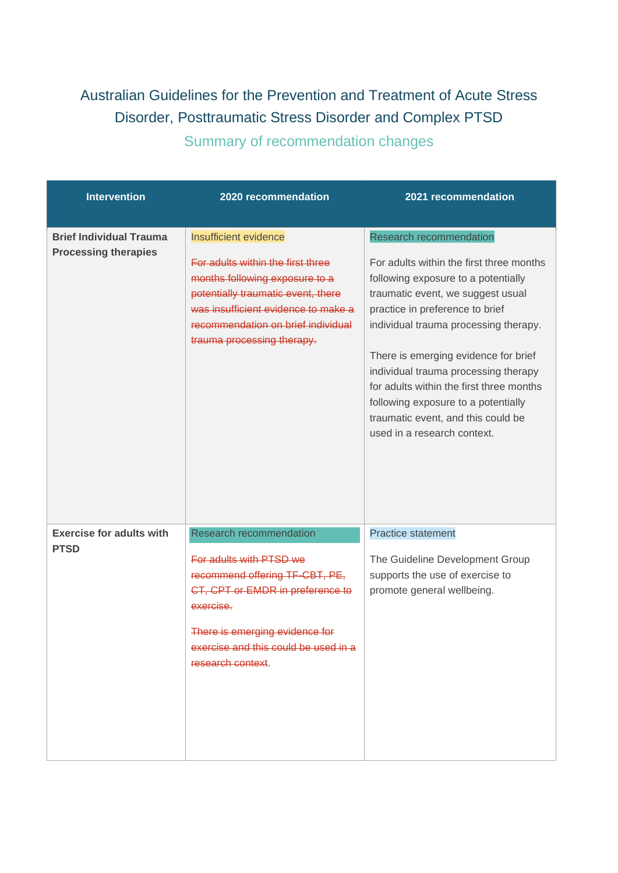## Australian Guidelines for the Prevention and Treatment of Acute Stress Disorder, Posttraumatic Stress Disorder and Complex PTSD

Summary of recommendation changes

| <b>Intervention</b>                                           | 2020 recommendation                                                                                                                                                                                                                                  | 2021 recommendation                                                                                                                                                                                                                                                                                                                                                                                                                                                        |
|---------------------------------------------------------------|------------------------------------------------------------------------------------------------------------------------------------------------------------------------------------------------------------------------------------------------------|----------------------------------------------------------------------------------------------------------------------------------------------------------------------------------------------------------------------------------------------------------------------------------------------------------------------------------------------------------------------------------------------------------------------------------------------------------------------------|
| <b>Brief Individual Trauma</b><br><b>Processing therapies</b> | <b>Insufficient evidence</b><br>For adults within the first three<br>months following exposure to a<br>potentially traumatic event, there<br>was insufficient evidence to make a<br>recommendation on brief individual<br>trauma processing therapy. | <b>Research recommendation</b><br>For adults within the first three months<br>following exposure to a potentially<br>traumatic event, we suggest usual<br>practice in preference to brief<br>individual trauma processing therapy.<br>There is emerging evidence for brief<br>individual trauma processing therapy<br>for adults within the first three months<br>following exposure to a potentially<br>traumatic event, and this could be<br>used in a research context. |
| <b>Exercise for adults with</b><br><b>PTSD</b>                | Research recommendation<br>For adults with PTSD we<br>recommend offering TF-CBT, PE,<br>CT, CPT or EMDR in preference to<br>exercise.<br>There is emerging evidence for<br>exercise and this could be used in a<br>research context.                 | <b>Practice statement</b><br>The Guideline Development Group<br>supports the use of exercise to<br>promote general wellbeing.                                                                                                                                                                                                                                                                                                                                              |